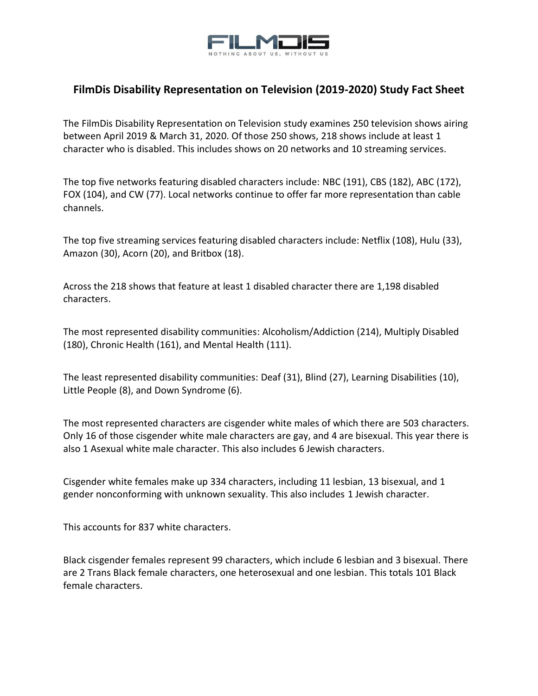

## **FilmDis Disability Representation on Television (2019-2020) Study Fact Sheet**

The FilmDis Disability Representation on Television study examines 250 television shows airing between April 2019 & March 31, 2020. Of those 250 shows, 218 shows include at least 1 character who is disabled. This includes shows on 20 networks and 10 streaming services.

The top five networks featuring disabled characters include: NBC (191), CBS (182), ABC (172), FOX (104), and CW (77). Local networks continue to offer far more representation than cable channels.

The top five streaming services featuring disabled characters include: Netflix (108), Hulu (33), Amazon (30), Acorn (20), and Britbox (18).

Across the 218 shows that feature at least 1 disabled character there are 1,198 disabled characters.

The most represented disability communities: Alcoholism/Addiction (214), Multiply Disabled (180), Chronic Health (161), and Mental Health (111).

The least represented disability communities: Deaf (31), Blind (27), Learning Disabilities (10), Little People (8), and Down Syndrome (6).

The most represented characters are cisgender white males of which there are 503 characters. Only 16 of those cisgender white male characters are gay, and 4 are bisexual. This year there is also 1 Asexual white male character. This also includes 6 Jewish characters.

Cisgender white females make up 334 characters, including 11 lesbian, 13 bisexual, and 1 gender nonconforming with unknown sexuality. This also includes 1 Jewish character.

This accounts for 837 white characters.

Black cisgender females represent 99 characters, which include 6 lesbian and 3 bisexual. There are 2 Trans Black female characters, one heterosexual and one lesbian. This totals 101 Black female characters.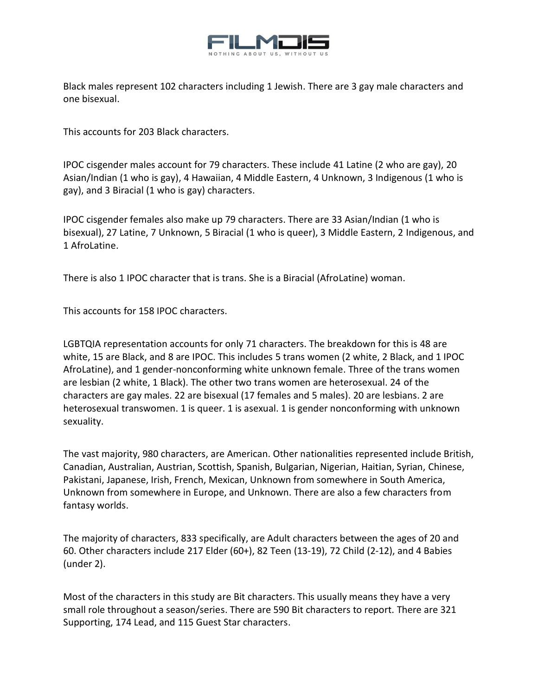

Black males represent 102 characters including 1 Jewish. There are 3 gay male characters and one bisexual.

This accounts for 203 Black characters.

IPOC cisgender males account for 79 characters. These include 41 Latine (2 who are gay), 20 Asian/Indian (1 who is gay), 4 Hawaiian, 4 Middle Eastern, 4 Unknown, 3 Indigenous (1 who is gay), and 3 Biracial (1 who is gay) characters.

IPOC cisgender females also make up 79 characters. There are 33 Asian/Indian (1 who is bisexual), 27 Latine, 7 Unknown, 5 Biracial (1 who is queer), 3 Middle Eastern, 2 Indigenous, and 1 AfroLatine.

There is also 1 IPOC character that is trans. She is a Biracial (AfroLatine) woman.

This accounts for 158 IPOC characters.

LGBTQIA representation accounts for only 71 characters. The breakdown for this is 48 are white, 15 are Black, and 8 are IPOC. This includes 5 trans women (2 white, 2 Black, and 1 IPOC AfroLatine), and 1 gender-nonconforming white unknown female. Three of the trans women are lesbian (2 white, 1 Black). The other two trans women are heterosexual. 24 of the characters are gay males. 22 are bisexual (17 females and 5 males). 20 are lesbians. 2 are heterosexual transwomen. 1 is queer. 1 is asexual. 1 is gender nonconforming with unknown sexuality.

The vast majority, 980 characters, are American. Other nationalities represented include British, Canadian, Australian, Austrian, Scottish, Spanish, Bulgarian, Nigerian, Haitian, Syrian, Chinese, Pakistani, Japanese, Irish, French, Mexican, Unknown from somewhere in South America, Unknown from somewhere in Europe, and Unknown. There are also a few characters from fantasy worlds.

The majority of characters, 833 specifically, are Adult characters between the ages of 20 and 60. Other characters include 217 Elder (60+), 82 Teen (13-19), 72 Child (2-12), and 4 Babies (under 2).

Most of the characters in this study are Bit characters. This usually means they have a very small role throughout a season/series. There are 590 Bit characters to report. There are 321 Supporting, 174 Lead, and 115 Guest Star characters.